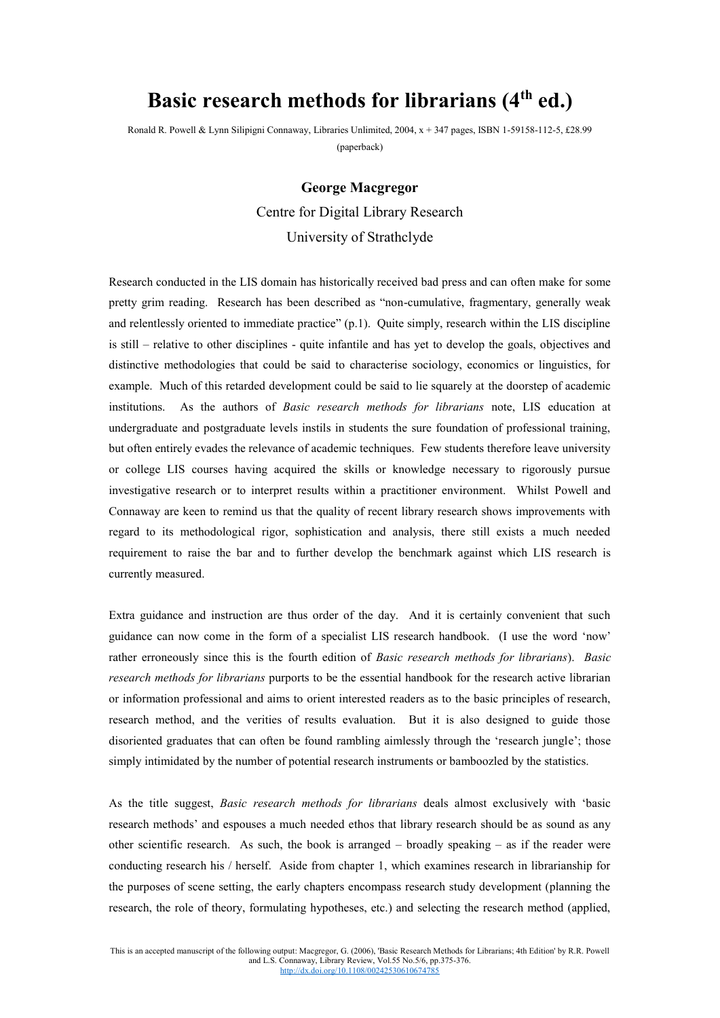## **Basic research methods for librarians (4th ed.)**

Ronald R. Powell & Lynn Silipigni Connaway, Libraries Unlimited, 2004, x + 347 pages, ISBN 1-59158-112-5, £28.99 (paperback)

## **George Macgregor** Centre for Digital Library Research University of Strathclyde

Research conducted in the LIS domain has historically received bad press and can often make for some pretty grim reading. Research has been described as "non-cumulative, fragmentary, generally weak and relentlessly oriented to immediate practice" (p.1). Quite simply, research within the LIS discipline is still – relative to other disciplines - quite infantile and has yet to develop the goals, objectives and distinctive methodologies that could be said to characterise sociology, economics or linguistics, for example. Much of this retarded development could be said to lie squarely at the doorstep of academic institutions. As the authors of *Basic research methods for librarians* note, LIS education at undergraduate and postgraduate levels instils in students the sure foundation of professional training, but often entirely evades the relevance of academic techniques. Few students therefore leave university or college LIS courses having acquired the skills or knowledge necessary to rigorously pursue investigative research or to interpret results within a practitioner environment. Whilst Powell and Connaway are keen to remind us that the quality of recent library research shows improvements with regard to its methodological rigor, sophistication and analysis, there still exists a much needed requirement to raise the bar and to further develop the benchmark against which LIS research is currently measured.

Extra guidance and instruction are thus order of the day. And it is certainly convenient that such guidance can now come in the form of a specialist LIS research handbook. (I use the word 'now' rather erroneously since this is the fourth edition of *Basic research methods for librarians*). *Basic research methods for librarians* purports to be the essential handbook for the research active librarian or information professional and aims to orient interested readers as to the basic principles of research, research method, and the verities of results evaluation. But it is also designed to guide those disoriented graduates that can often be found rambling aimlessly through the 'research jungle'; those simply intimidated by the number of potential research instruments or bamboozled by the statistics.

As the title suggest, *Basic research methods for librarians* deals almost exclusively with 'basic research methods' and espouses a much needed ethos that library research should be as sound as any other scientific research. As such, the book is arranged – broadly speaking – as if the reader were conducting research his / herself. Aside from chapter 1, which examines research in librarianship for the purposes of scene setting, the early chapters encompass research study development (planning the research, the role of theory, formulating hypotheses, etc.) and selecting the research method (applied,